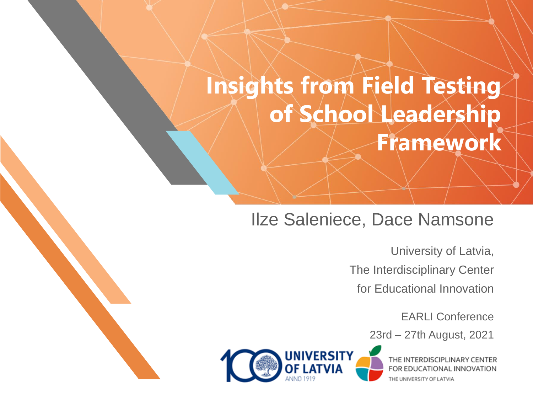## **Insights from Field Testing of School Leadership Framework**

#### Ilze Saleniece, Dace Namsone

University of Latvia, The Interdisciplinary Center for Educational Innovation

EARLI Conference

23rd – 27th August, 2021



THE INTERDISCIPLINARY CENTER FOR EDUCATIONAL INNOVATION THE UNIVERSITY OF LATVIA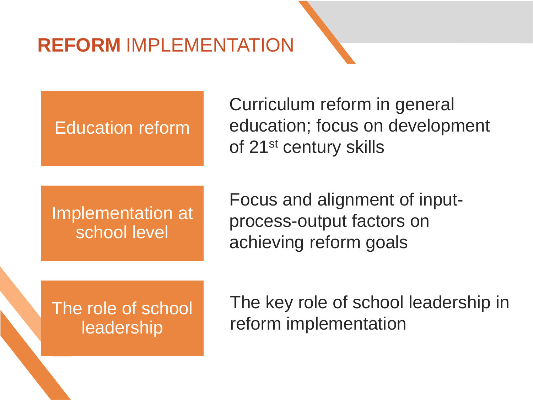## **REFORM** IMPLEMENTATION

Education reform

Curriculum reform in general education; focus on development of 21st century skills

Implementation at school level

Focus and alignment of inputprocess-output factors on achieving reform goals

The role of school leadership

The key role of school leadership in reform implementation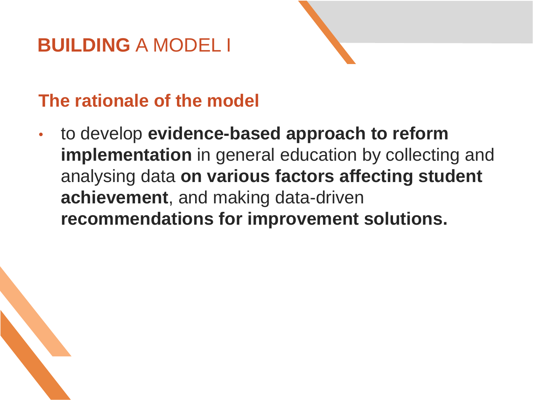#### **BUILDING** A MODEL I



#### **The rationale of the model**

• to develop **evidence-based approach to reform implementation** in general education by collecting and analysing data **on various factors affecting student achievement**, and making data-driven **recommendations for improvement solutions.**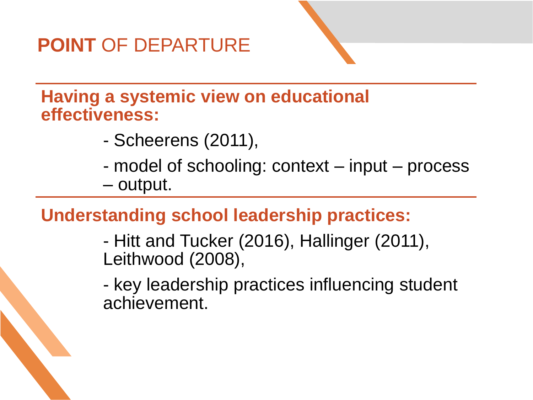## **POINT** OF DEPARTURE

**Having a systemic view on educational effectiveness:** 

- Scheerens (2011),
- model of schooling: context input process – output.

#### **Understanding school leadership practices:**

- Hitt and Tucker (2016), Hallinger (2011), Leithwood (2008),
- key leadership practices influencing student achievement.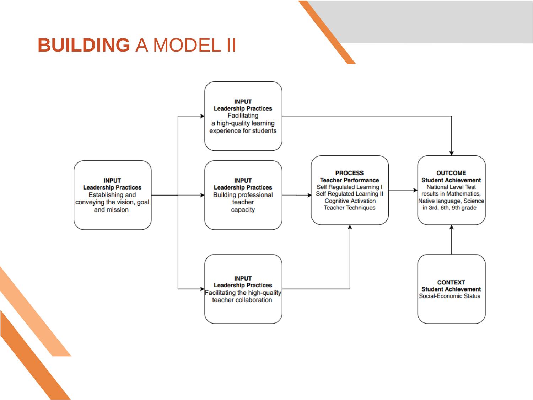#### **BUILDING** A MODEL II

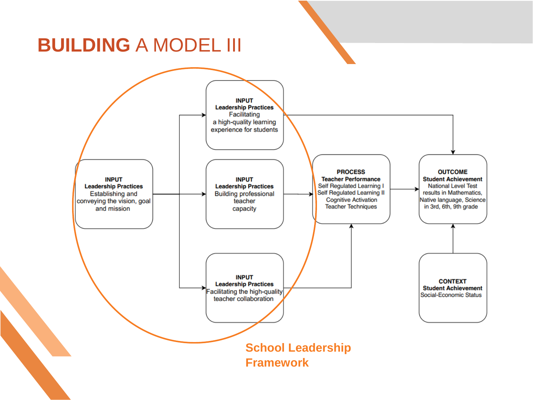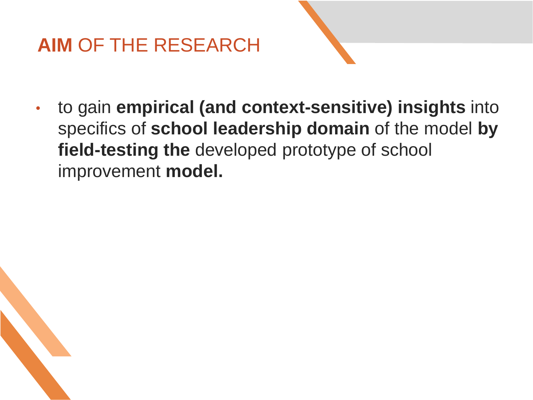## **AIM** OF THE RESEARCH



• to gain **empirical (and context-sensitive) insights** into specifics of **school leadership domain** of the model **by field-testing the** developed prototype of school improvement **model.**

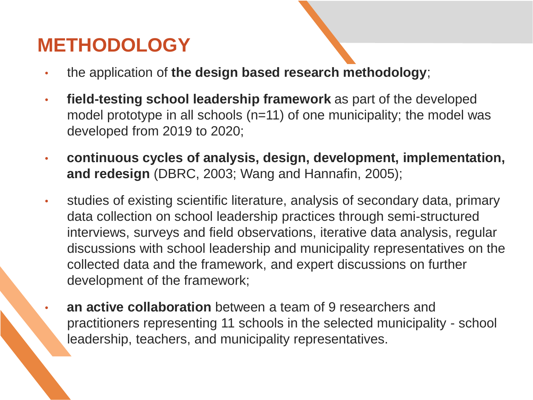#### **METHODOLOGY**

- the application of **the design based research methodology**;
- **field-testing school leadership framework** as part of the developed model prototype in all schools (n=11) of one municipality; the model was developed from 2019 to 2020;
- **continuous cycles of analysis, design, development, implementation, and redesign** (DBRC, 2003; Wang and Hannafin, 2005);
- studies of existing scientific literature, analysis of secondary data, primary data collection on school leadership practices through semi-structured interviews, surveys and field observations, iterative data analysis, regular discussions with school leadership and municipality representatives on the collected data and the framework, and expert discussions on further development of the framework;
	- **an active collaboration** between a team of 9 researchers and practitioners representing 11 schools in the selected municipality - school leadership, teachers, and municipality representatives.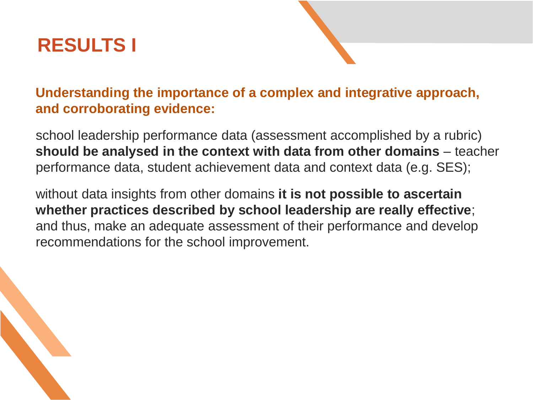#### **RESULTS I**



school leadership performance data (assessment accomplished by a rubric) **should be analysed in the context with data from other domains** – teacher performance data, student achievement data and context data (e.g. SES);

without data insights from other domains **it is not possible to ascertain whether practices described by school leadership are really effective**; and thus, make an adequate assessment of their performance and develop recommendations for the school improvement.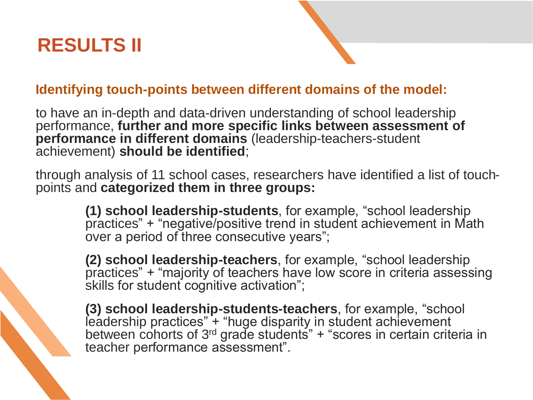#### **RESULTS II**

#### **Identifying touch-points between different domains of the model:**

to have an in-depth and data-driven understanding of school leadership performance, **further and more specific links between assessment of performance in different domains** (leadership-teachers-student achievement) **should be identified**;

through analysis of 11 school cases, researchers have identified a list of touchpoints and **categorized them in three groups:**

> **(1) school leadership-students**, for example, "school leadership practices" + "negative/positive trend in student achievement in Math over a period of three consecutive years";

**(2) school leadership-teachers**, for example, "school leadership practices" + "majority of teachers have low score in criteria assessing skills for student cognitive activation";

**(3) school leadership-students-teachers**, for example, "school leadership practices" + "huge disparity in student achievement between cohorts of 3<sup>rd</sup> grade students<sup>"</sup> + "scores in certain criteria in teacher performance assessment".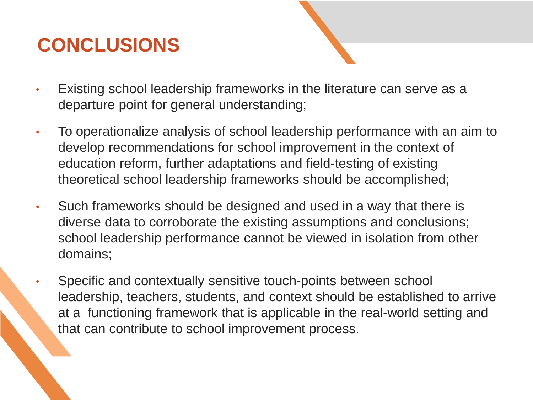## **CONCLUSIONS**

- Existing school leadership frameworks in the literature can serve as a departure point for general understanding;
- To operationalize analysis of school leadership performance with an aim to develop recommendations for school improvement in the context of education reform, further adaptations and field-testing of existing theoretical school leadership frameworks should be accomplished;
- Such frameworks should be designed and used in a way that there is diverse data to corroborate the existing assumptions and conclusions; school leadership performance cannot be viewed in isolation from other domains;
- Specific and contextually sensitive touch-points between school leadership, teachers, students, and context should be established to arrive at a functioning framework that is applicable in the real-world setting and that can contribute to school improvement process.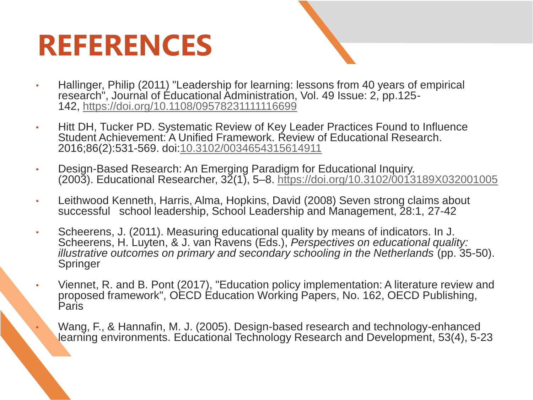# **REFERENCES**

- 
- Hallinger, Philip (2011) "Leadership for learning: lessons from 40 years of empirical research", Journal of Educational Administration, Vol. 49 Issue: 2, pp.125- 142, <https://doi.org/10.1108/09578231111116699>
- Hitt DH, Tucker PD. Systematic Review of Key Leader Practices Found to Influence Student Achievement: A Unified Framework. Review of Educational Research. 2016;86(2):531-569. doi[:10.3102/0034654315614911](https://doi.org/10.3102/0034654315614911)
- Design-Based Research: An Emerging Paradigm for Educational Inquiry. (2003). Educational Researcher, 32(1), 5–8. <https://doi.org/10.3102/0013189X032001005>
- Leithwood Kenneth, Harris, Alma, Hopkins, David (2008) Seven strong claims about successful school leadership, School Leadership and Management, 28:1, 27-42
- Scheerens, J. (2011). Measuring educational quality by means of indicators. In J. Scheerens, H. Luyten, & J. van Ravens (Eds.), *Perspectives on educational quality: illustrative outcomes on primary and secondary schooling in the Netherlands* (pp. 35-50). Springer
- Viennet, R. and B. Pont (2017), "Education policy implementation: A literature review and proposed framework", OECD Education Working Papers, No. 162, OECD Publishing, Paris
	- Wang, F., & Hannafin, M. J. (2005). Design-based research and technology-enhanced learning environments. Educational Technology Research and Development, 53(4), 5-23